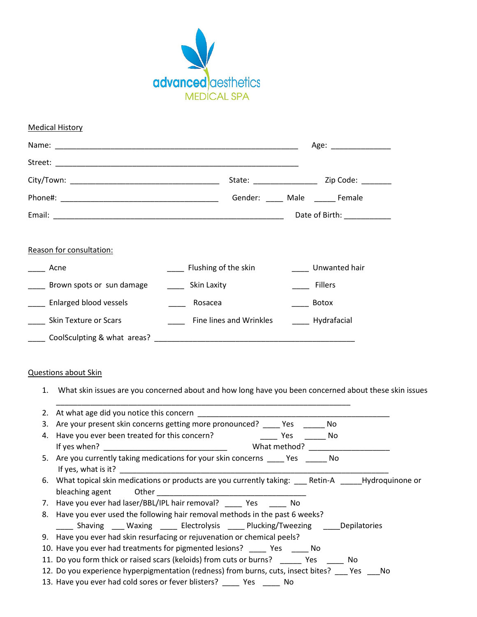

| <b>Medical History</b>    |                                                             |                            |  |
|---------------------------|-------------------------------------------------------------|----------------------------|--|
|                           |                                                             | Age: __________________    |  |
|                           |                                                             |                            |  |
|                           |                                                             |                            |  |
|                           |                                                             | Gender: Male Female        |  |
|                           |                                                             | Date of Birth: ___________ |  |
| Reason for consultation:  |                                                             |                            |  |
| Acne                      | ____ Flushing of the skin                                   | Unwanted hair              |  |
| Brown spots or sun damage | Skin Laxity                                                 | Fillers                    |  |
| Enlarged blood vessels    | Rosacea                                                     | Botox                      |  |
| Skin Texture or Scars     | <b>Fine lines and Wrinkles</b>                              | _____ Hydrafacial          |  |
|                           | CoolSculpting & what areas? The coolSculpting & what areas? |                            |  |

## Questions about Skin

1. What skin issues are you concerned about and how long have you been concerned about these skin issues

| 3. Are your present skin concerns getting more pronounced? ______ Yes ______<br>No.                             |  |  |
|-----------------------------------------------------------------------------------------------------------------|--|--|
| 4. Have you ever been treated for this concern? The Mongolet Constant Mongolet Mongolet Mongolet Mongolet Mongo |  |  |
| What method?                                                                                                    |  |  |
| 5. Are you currently taking medications for your skin concerns _______ Yes ________ No                          |  |  |
|                                                                                                                 |  |  |
|                                                                                                                 |  |  |
|                                                                                                                 |  |  |
| 7. Have you ever had laser/BBL/IPL hair removal? _____ Yes ______ No                                            |  |  |
| 8. Have you ever used the following hair removal methods in the past 6 weeks?                                   |  |  |
| ______ Shaving _____ Waxing _______ Electrolysis ______ Plucking/Tweezing ______ Depilatories                   |  |  |
| 9. Have you ever had skin resurfacing or rejuvenation or chemical peels?                                        |  |  |
| 10. Have you ever had treatments for pigmented lesions? _______ Yes ______ No                                   |  |  |
| 11. Do you form thick or raised scars (keloids) from cuts or burns? ________ Yes _______ No                     |  |  |
| 12. Do you experience hyperpigmentation (redness) from burns, cuts, insect bites? ___ Yes ___ No                |  |  |
| 13. Have you ever had cold sores or fever blisters? _______ Yes _______ No                                      |  |  |